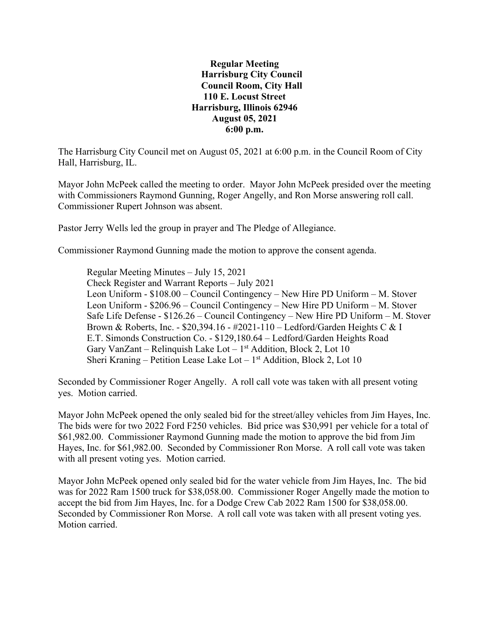**Regular Meeting Harrisburg City Council Council Room, City Hall 110 E. Locust Street Harrisburg, Illinois 62946 August 05, 2021 6:00 p.m.**

The Harrisburg City Council met on August 05, 2021 at 6:00 p.m. in the Council Room of City Hall, Harrisburg, IL.

Mayor John McPeek called the meeting to order. Mayor John McPeek presided over the meeting with Commissioners Raymond Gunning, Roger Angelly, and Ron Morse answering roll call. Commissioner Rupert Johnson was absent.

Pastor Jerry Wells led the group in prayer and The Pledge of Allegiance.

Commissioner Raymond Gunning made the motion to approve the consent agenda.

Regular Meeting Minutes – July 15, 2021 Check Register and Warrant Reports – July 2021 Leon Uniform - \$108.00 – Council Contingency – New Hire PD Uniform – M. Stover Leon Uniform - \$206.96 – Council Contingency – New Hire PD Uniform – M. Stover Safe Life Defense - \$126.26 – Council Contingency – New Hire PD Uniform – M. Stover Brown & Roberts, Inc. - \$20,394.16 - #2021-110 – Ledford/Garden Heights C & I E.T. Simonds Construction Co. - \$129,180.64 – Ledford/Garden Heights Road Gary VanZant – Relinquish Lake Lot –  $1<sup>st</sup>$  Addition, Block 2, Lot 10 Sheri Kraning – Petition Lease Lake Lot –  $1<sup>st</sup>$  Addition, Block 2, Lot 10

Seconded by Commissioner Roger Angelly. A roll call vote was taken with all present voting yes. Motion carried.

Mayor John McPeek opened the only sealed bid for the street/alley vehicles from Jim Hayes, Inc. The bids were for two 2022 Ford F250 vehicles. Bid price was \$30,991 per vehicle for a total of \$61,982.00. Commissioner Raymond Gunning made the motion to approve the bid from Jim Hayes, Inc. for \$61,982.00. Seconded by Commissioner Ron Morse. A roll call vote was taken with all present voting yes. Motion carried.

Mayor John McPeek opened only sealed bid for the water vehicle from Jim Hayes, Inc. The bid was for 2022 Ram 1500 truck for \$38,058.00. Commissioner Roger Angelly made the motion to accept the bid from Jim Hayes, Inc. for a Dodge Crew Cab 2022 Ram 1500 for \$38,058.00. Seconded by Commissioner Ron Morse. A roll call vote was taken with all present voting yes. Motion carried.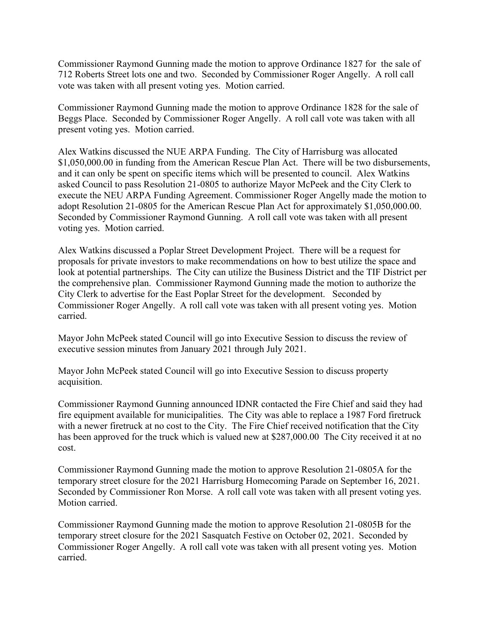Commissioner Raymond Gunning made the motion to approve Ordinance 1827 for the sale of 712 Roberts Street lots one and two. Seconded by Commissioner Roger Angelly. A roll call vote was taken with all present voting yes. Motion carried.

Commissioner Raymond Gunning made the motion to approve Ordinance 1828 for the sale of Beggs Place. Seconded by Commissioner Roger Angelly. A roll call vote was taken with all present voting yes. Motion carried.

Alex Watkins discussed the NUE ARPA Funding. The City of Harrisburg was allocated \$1,050,000.00 in funding from the American Rescue Plan Act. There will be two disbursements, and it can only be spent on specific items which will be presented to council. Alex Watkins asked Council to pass Resolution 21-0805 to authorize Mayor McPeek and the City Clerk to execute the NEU ARPA Funding Agreement. Commissioner Roger Angelly made the motion to adopt Resolution 21-0805 for the American Rescue Plan Act for approximately \$1,050,000.00. Seconded by Commissioner Raymond Gunning. A roll call vote was taken with all present voting yes. Motion carried.

Alex Watkins discussed a Poplar Street Development Project. There will be a request for proposals for private investors to make recommendations on how to best utilize the space and look at potential partnerships. The City can utilize the Business District and the TIF District per the comprehensive plan. Commissioner Raymond Gunning made the motion to authorize the City Clerk to advertise for the East Poplar Street for the development. Seconded by Commissioner Roger Angelly. A roll call vote was taken with all present voting yes. Motion carried.

Mayor John McPeek stated Council will go into Executive Session to discuss the review of executive session minutes from January 2021 through July 2021.

Mayor John McPeek stated Council will go into Executive Session to discuss property acquisition.

Commissioner Raymond Gunning announced IDNR contacted the Fire Chief and said they had fire equipment available for municipalities. The City was able to replace a 1987 Ford firetruck with a newer firetruck at no cost to the City. The Fire Chief received notification that the City has been approved for the truck which is valued new at \$287,000.00 The City received it at no cost.

Commissioner Raymond Gunning made the motion to approve Resolution 21-0805A for the temporary street closure for the 2021 Harrisburg Homecoming Parade on September 16, 2021. Seconded by Commissioner Ron Morse. A roll call vote was taken with all present voting yes. Motion carried.

Commissioner Raymond Gunning made the motion to approve Resolution 21-0805B for the temporary street closure for the 2021 Sasquatch Festive on October 02, 2021. Seconded by Commissioner Roger Angelly. A roll call vote was taken with all present voting yes. Motion carried.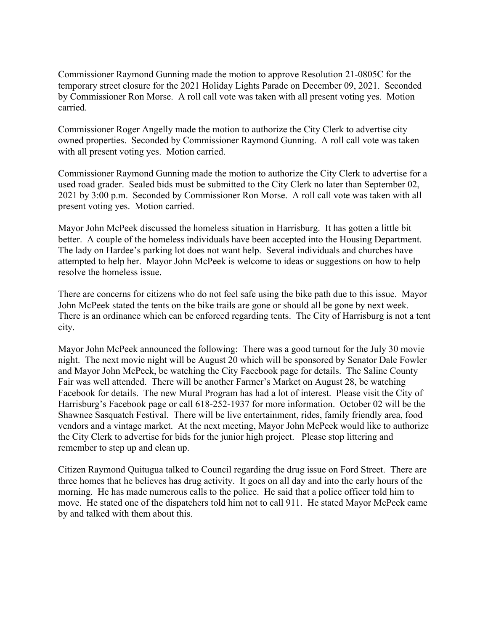Commissioner Raymond Gunning made the motion to approve Resolution 21-0805C for the temporary street closure for the 2021 Holiday Lights Parade on December 09, 2021. Seconded by Commissioner Ron Morse. A roll call vote was taken with all present voting yes. Motion carried.

Commissioner Roger Angelly made the motion to authorize the City Clerk to advertise city owned properties. Seconded by Commissioner Raymond Gunning. A roll call vote was taken with all present voting yes. Motion carried.

Commissioner Raymond Gunning made the motion to authorize the City Clerk to advertise for a used road grader. Sealed bids must be submitted to the City Clerk no later than September 02, 2021 by 3:00 p.m. Seconded by Commissioner Ron Morse. A roll call vote was taken with all present voting yes. Motion carried.

Mayor John McPeek discussed the homeless situation in Harrisburg. It has gotten a little bit better. A couple of the homeless individuals have been accepted into the Housing Department. The lady on Hardee's parking lot does not want help. Several individuals and churches have attempted to help her. Mayor John McPeek is welcome to ideas or suggestions on how to help resolve the homeless issue.

There are concerns for citizens who do not feel safe using the bike path due to this issue. Mayor John McPeek stated the tents on the bike trails are gone or should all be gone by next week. There is an ordinance which can be enforced regarding tents. The City of Harrisburg is not a tent city.

Mayor John McPeek announced the following: There was a good turnout for the July 30 movie night. The next movie night will be August 20 which will be sponsored by Senator Dale Fowler and Mayor John McPeek, be watching the City Facebook page for details. The Saline County Fair was well attended. There will be another Farmer's Market on August 28, be watching Facebook for details. The new Mural Program has had a lot of interest. Please visit the City of Harrisburg's Facebook page or call 618-252-1937 for more information. October 02 will be the Shawnee Sasquatch Festival. There will be live entertainment, rides, family friendly area, food vendors and a vintage market. At the next meeting, Mayor John McPeek would like to authorize the City Clerk to advertise for bids for the junior high project. Please stop littering and remember to step up and clean up.

Citizen Raymond Quitugua talked to Council regarding the drug issue on Ford Street. There are three homes that he believes has drug activity. It goes on all day and into the early hours of the morning. He has made numerous calls to the police. He said that a police officer told him to move. He stated one of the dispatchers told him not to call 911. He stated Mayor McPeek came by and talked with them about this.